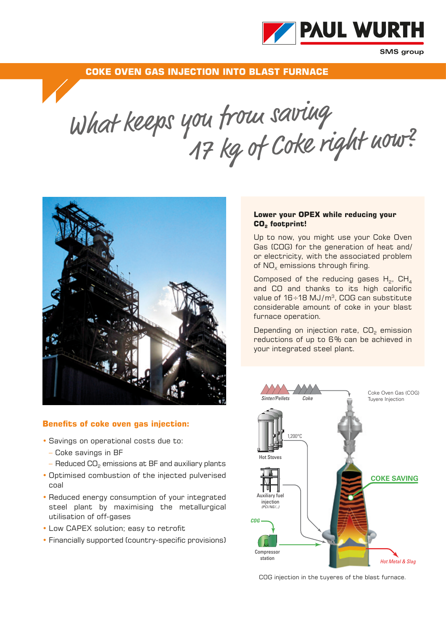

**SMS** group

**COKE OVEN GAS INJECTION INTO BLAST FURNACE**

What keeps you troue saving when  $17$  kg of Coke right now?



## **Benefits of coke oven gas injection:**

- Savings on operational costs due to:
	- Coke savings in BF
	- $-$  Reduced CO<sub>2</sub> emissions at BF and auxiliary plants
- Optimised combustion of the injected pulverised coal
- Reduced energy consumption of your integrated steel plant by maximising the metallurgical utilisation of off-gases
- Low CAPEX solution; easy to retrofit
- Financially supported (country-specific provisions)

## **Lower your OPEX while reducing your**  CO<sub>2</sub> footprint!

Up to now, you might use your Coke Oven Gas (COG) for the generation of heat and/ or electricity, with the associated problem of  $NO<sub>x</sub>$  emissions through firing.

Composed of the reducing gases  $H_2$ , CH<sub>4</sub> and CO and thanks to its high calorific value of  $16 \div 18$  MJ/ $m^3$ , COG can substitute considerable amount of coke in your blast furnace operation.

Depending on injection rate, CO<sub>2</sub> emission reductions of up to 6% can be achieved in your integrated steel plant.



COG injection in the tuyeres of the blast furnace.